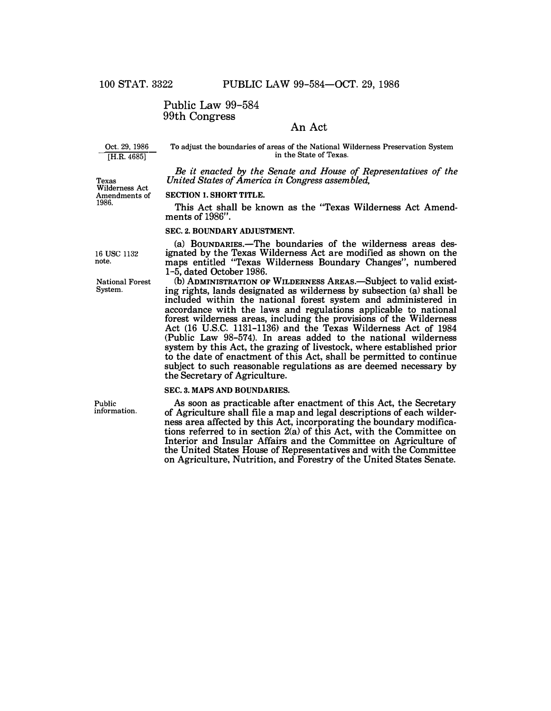# Public Law 99-584 99th Congress

# An Act

Oct. 29, 1986 [H.R. 4685]

To adjust the boundaries of areas of the National Wilderness Preservation System in the State of Texas.

*Be it enacted by the Senate and House of Representatives of the*  Texas *United States of America in Congress assembled,* 

Wilderness Act

### Amendments of **SECTION 1. SHORT TITLE.**

1986. **This** *Act* **shall be known as the "Texas Wilderness Act Amendments of** 1986".

#### **SEC. 2. BOUNDARY ADJUSTMENT.**

(a) BOUNDARIES.—The boundaries of the wilderness areas des**ignated by the Texas Wilderness Act are modified as shown on the maps entitled "Texas Wilderness Boundary Changes", numbered**  1-5, **dated October** 1986.

(b) **ADMINISTRATION** OF **WILDERNESS AREAS.-Subject to valid existing rights, lands designated as wilderness by subsection (a) shall be included within the national forest system and administered in accordance with the laws and regulations applicable to national forest wilderness areas, including the provisions of the Wilderness Act** (16 **U.S.C.** 1131-1136) **and the Texas Wilderness Act of** 1984 **(Public Law** 98-57**4). In areas added to the national wilderness system by this Act, the grazing of livestock, where established prior to the date of enactment of this Act, shall be permitted to continue subject to such reasonable regulations as are deemed necessary by the Secretary of Agriculture.** 

### **SEC. 3. MAPS AND BOUNDARIES.**

**As soon as practicable after enactment of this Act, the Secretary of Agriculture shall file a map and legal descriptions of each wilderness area affected by this Act, incorporating the boundary modifications referred to in section 2(a) of this Act, with the Committee on Interior and Insular Affairs and the Committee on Agriculture of the United States House of Representatives and with the Committee on Agriculture, Nutrition, and Forestry of the United States Senate.** 

16 **use** 1132 note.

National Forest System.

Public information.